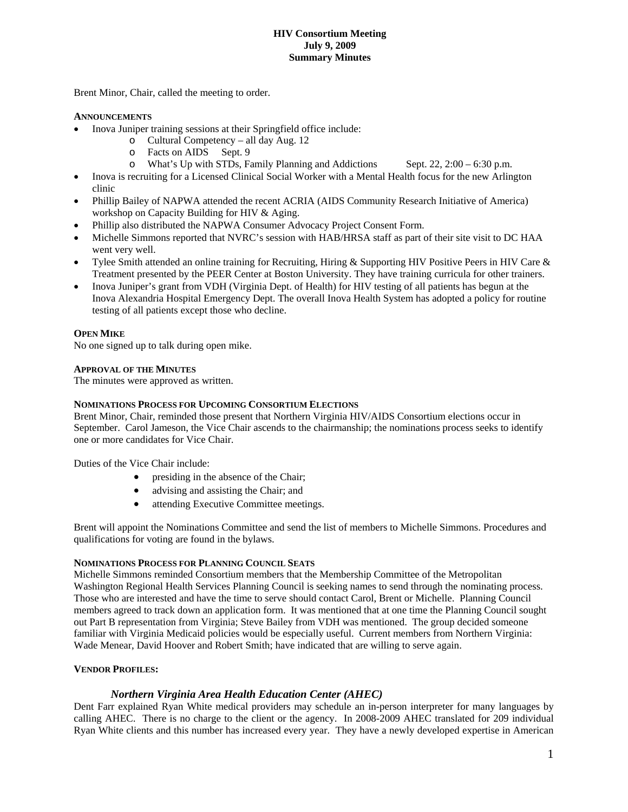#### **HIV Consortium Meeting July 9, 2009 Summary Minutes**

Brent Minor, Chair, called the meeting to order.

## **ANNOUNCEMENTS**

- Inova Juniper training sessions at their Springfield office include:
	- o Cultural Competency all day Aug. 12
	- o Facts on AIDS Sept. 9
	- o What's Up with STDs, Family Planning and Addictions Sept.  $22, 2:00 6:30$  p.m.
- Inova is recruiting for a Licensed Clinical Social Worker with a Mental Health focus for the new Arlington clinic
- Phillip Bailey of NAPWA attended the recent ACRIA (AIDS Community Research Initiative of America) workshop on Capacity Building for HIV & Aging.
- Phillip also distributed the NAPWA Consumer Advocacy Project Consent Form.
- Michelle Simmons reported that NVRC's session with HAB/HRSA staff as part of their site visit to DC HAA went very well.
- Tylee Smith attended an online training for Recruiting, Hiring & Supporting HIV Positive Peers in HIV Care & Treatment presented by the PEER Center at Boston University. They have training curricula for other trainers.
- Inova Juniper's grant from VDH (Virginia Dept. of Health) for HIV testing of all patients has begun at the Inova Alexandria Hospital Emergency Dept. The overall Inova Health System has adopted a policy for routine testing of all patients except those who decline.

#### **OPEN MIKE**

No one signed up to talk during open mike.

#### **APPROVAL OF THE MINUTES**

The minutes were approved as written.

#### **NOMINATIONS PROCESS FOR UPCOMING CONSORTIUM ELECTIONS**

Brent Minor, Chair, reminded those present that Northern Virginia HIV/AIDS Consortium elections occur in September. Carol Jameson, the Vice Chair ascends to the chairmanship; the nominations process seeks to identify one or more candidates for Vice Chair.

Duties of the Vice Chair include:

- presiding in the absence of the Chair;
- advising and assisting the Chair; and
- attending Executive Committee meetings.

Brent will appoint the Nominations Committee and send the list of members to Michelle Simmons. Procedures and qualifications for voting are found in the bylaws.

#### **NOMINATIONS PROCESS FOR PLANNING COUNCIL SEATS**

Michelle Simmons reminded Consortium members that the Membership Committee of the Metropolitan Washington Regional Health Services Planning Council is seeking names to send through the nominating process. Those who are interested and have the time to serve should contact Carol, Brent or Michelle. Planning Council members agreed to track down an application form. It was mentioned that at one time the Planning Council sought out Part B representation from Virginia; Steve Bailey from VDH was mentioned. The group decided someone familiar with Virginia Medicaid policies would be especially useful. Current members from Northern Virginia: Wade Menear, David Hoover and Robert Smith; have indicated that are willing to serve again.

## **VENDOR PROFILES:**

## *Northern Virginia Area Health Education Center (AHEC)*

Dent Farr explained Ryan White medical providers may schedule an in-person interpreter for many languages by calling AHEC. There is no charge to the client or the agency. In 2008-2009 AHEC translated for 209 individual Ryan White clients and this number has increased every year. They have a newly developed expertise in American